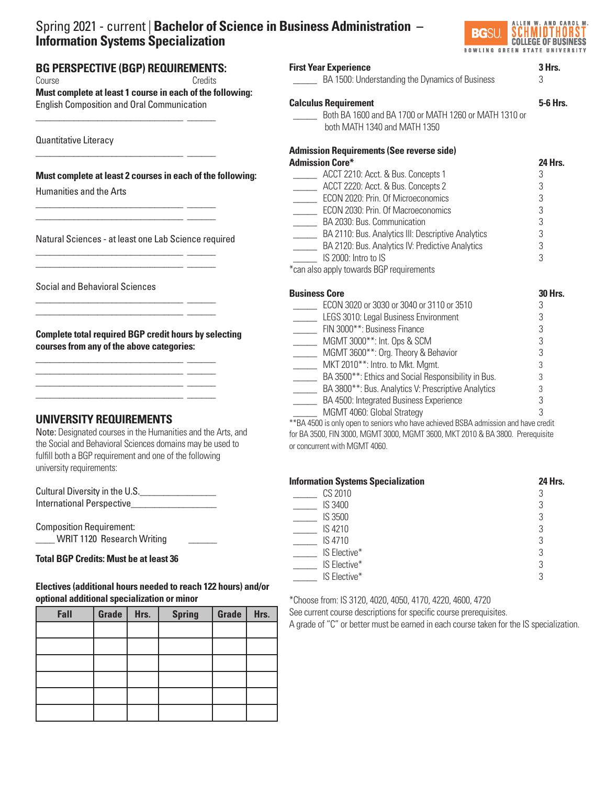# Spring 2021 - current | **Bachelor of Science in Business Administration – Information Systems Specialization**



# **BG PERSPECTIVE (BGP) REQUIREMENTS:**  Course Credits **Must complete at least 1 course in each of the following:**  English Composition and Oral Communication

Quantitative Literacy

## **Must complete at least 2 courses in each of the following:**

\_\_\_\_\_\_\_\_\_\_\_\_\_\_\_\_\_\_\_\_\_\_\_\_\_\_\_\_\_\_\_ \_\_\_\_\_\_

\_\_\_\_\_\_\_\_\_\_\_\_\_\_\_\_\_\_\_\_\_\_\_\_\_\_\_\_\_\_\_ \_\_\_\_\_\_

\_\_\_\_\_\_\_\_\_\_\_\_\_\_\_\_\_\_\_\_\_\_\_\_\_\_\_\_\_\_\_ \_\_\_\_\_\_ \_\_\_\_\_\_\_\_\_\_\_\_\_\_\_\_\_\_\_\_\_\_\_\_\_\_\_\_\_\_\_ \_\_\_\_\_\_

\_\_\_\_\_\_\_\_\_\_\_\_\_\_\_\_\_\_\_\_\_\_\_\_\_\_\_\_\_\_\_ \_\_\_\_\_\_ \_\_\_\_\_\_\_\_\_\_\_\_\_\_\_\_\_\_\_\_\_\_\_\_\_\_\_\_\_\_\_ \_\_\_\_\_\_

\_\_\_\_\_\_\_\_\_\_\_\_\_\_\_\_\_\_\_\_\_\_\_\_\_\_\_\_\_\_\_ \_\_\_\_\_\_ \_\_\_\_\_\_\_\_\_\_\_\_\_\_\_\_\_\_\_\_\_\_\_\_\_\_\_\_\_\_\_ \_\_\_\_\_\_

\_\_\_\_\_\_\_\_\_\_\_\_\_\_\_\_\_\_\_\_\_\_\_\_\_\_\_\_\_\_\_ \_\_\_\_\_\_ \_\_\_\_\_\_\_\_\_\_\_\_\_\_\_\_\_\_\_\_\_\_\_\_\_\_\_\_\_\_\_ \_\_\_\_\_\_ \_\_\_\_\_\_\_\_\_\_\_\_\_\_\_\_\_\_\_\_\_\_\_\_\_\_\_\_\_\_\_ \_\_\_\_\_\_ \_\_\_\_\_\_\_\_\_\_\_\_\_\_\_\_\_\_\_\_\_\_\_\_\_\_\_\_\_\_\_ \_\_\_\_\_\_

Humanities and the Arts

Natural Sciences - at least one Lab Science required

Social and Behavioral Sciences

**Complete total required BGP credit hours by selecting courses from any of the above categories:**

# **UNIVERSITY REQUIREMENTS**

Note: Designated courses in the Humanities and the Arts, and the Social and Behavioral Sciences domains may be used to fulfill both a BGP requirement and one of the following university requirements:

Cultural Diversity in the U.S.\_\_\_\_\_\_\_\_\_\_\_\_\_\_\_\_ International Perspective

Composition Requirement: \_\_\_\_ WRIT 1120 Research Writing \_\_\_\_\_\_

#### ֦ **Total BGP Credits: Must be at least 36**

# **Electives (additional hours needed to reach 122 hours) and/or optional additional specialization or minor**

| Fall | Grade | Hrs. | <b>Spring</b> | Grade | Hrs. |
|------|-------|------|---------------|-------|------|
|      |       |      |               |       |      |
|      |       |      |               |       |      |
|      |       |      |               |       |      |
|      |       |      |               |       |      |
|      |       |      |               |       |      |
|      |       |      |               |       |      |

| <b>First Year Experience</b><br>BA 1500: Understanding the Dynamics of Business | 3              |
|---------------------------------------------------------------------------------|----------------|
| <b>Calculus Requirement</b>                                                     | 5-6 Hrs.       |
| Both BA 1600 and BA 1700 or MATH 1260 or MATH 1310 or                           |                |
| both MATH 1340 and MATH 1350                                                    |                |
| <b>Admission Requirements (See reverse side)</b>                                |                |
| <b>Admission Core*</b>                                                          | 24 Hrs.        |
| ACCT 2210: Acct. & Bus. Concepts 1                                              | 3              |
| ACCT 2220: Acct. & Bus. Concepts 2                                              | 3              |
| ECON 2020: Prin. Of Microeconomics                                              | 3              |
| ECON 2030: Prin. Of Macroeconomics                                              | 3              |
| BA 2030: Bus. Communication                                                     | 3              |
| BA 2110: Bus. Analytics III: Descriptive Analytics                              | 3              |
| BA 2120: Bus. Analytics IV: Predictive Analytics                                | 3              |
| $IS$ 2000; Intro to IS                                                          | 3              |
| *can also apply towards BGP requirements                                        |                |
| <b>Business Core</b>                                                            | <b>30 Hrs.</b> |
| ECON 3020 or 3030 or 3040 or 3110 or 3510                                       | 3              |
| LEGS 3010: Legal Business Environment                                           | 3              |
| FIN 3000**: Business Finance                                                    | 3              |
| MGMT 3000**: Int. Ops & SCM                                                     | 3              |
| MGMT 3600**: Org. Theory & Behavior                                             | 3              |
| MKT 2010 <sup>**</sup> : Intro. to Mkt. Mgmt.                                   | 3              |
| BA 3500**: Ethics and Social Responsibility in Bus.                             | 3              |

EXTER BA 3800<sup>\*\*</sup>: Bus. Analytics V: Prescriptive Analytics 3<br>BA 4500: Integrated Business Experience 3 BA 4500: Integrated Business Experience MGMT 4060: Global Strategy 3 \*\*BA 4500 is only open to seniors who have achieved BSBA admission and have credit

for BA 3500, FIN 3000, MGMT 3000, MGMT 3600, MKT 2010 & BA 3800. Prerequisite or concurrent with MGMT 4060.

| <b>Information Systems Specialization</b> | <b>24 Hrs.</b> |
|-------------------------------------------|----------------|
| CS 2010                                   | 3              |
| IS 3400                                   | 3              |
| IS 3500                                   | 3              |
| IS 4210                                   | 3              |
| IS 4710                                   | 3              |
| IS Elective*                              | 3              |
| IS Elective*                              | 3              |
| IS Elective*                              | 3              |

\*Choose from: IS 3120, 4020, 4050, 4170, 4220, 4600, 4720

See current course descriptions for specific course prerequisites.

A grade of "C" or better must be earned in each course taken for the IS specialization.